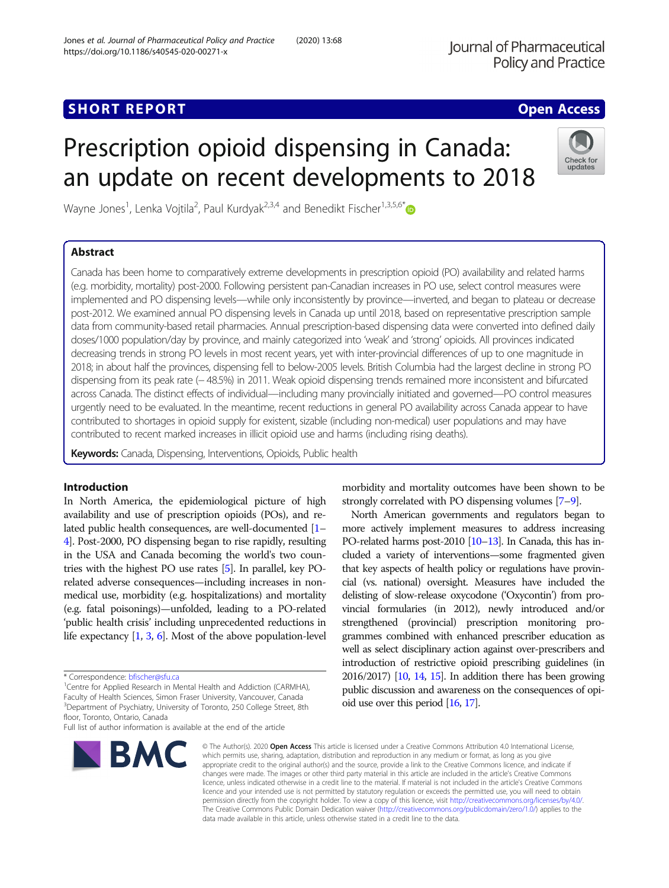# Prescription opioid dispensing in Canada: an update on recent developments to 2018

Wayne Jones<sup>1</sup>, Lenka Vojtila<sup>2</sup>, Paul Kurdyak<sup>2,3,4</sup> and Benedikt Fischer<sup>1,3,5,6[\\*](http://orcid.org/0000-0002-2186-4030)</sup>

## Abstract

## Check for updates

Canada has been home to comparatively extreme developments in prescription opioid (PO) availability and related harms (e.g. morbidity, mortality) post-2000. Following persistent pan-Canadian increases in PO use, select control measures were implemented and PO dispensing levels—while only inconsistently by province—inverted, and began to plateau or decrease post-2012. We examined annual PO dispensing levels in Canada up until 2018, based on representative prescription sample data from community-based retail pharmacies. Annual prescription-based dispensing data were converted into defined daily doses/1000 population/day by province, and mainly categorized into 'weak' and 'strong' opioids. All provinces indicated decreasing trends in strong PO levels in most recent years, yet with inter-provincial differences of up to one magnitude in 2018; in about half the provinces, dispensing fell to below-2005 levels. British Columbia had the largest decline in strong PO dispensing from its peak rate (− 48.5%) in 2011. Weak opioid dispensing trends remained more inconsistent and bifurcated across Canada. The distinct effects of individual—including many provincially initiated and governed—PO control measures urgently need to be evaluated. In the meantime, recent reductions in general PO availability across Canada appear to have contributed to shortages in opioid supply for existent, sizable (including non-medical) user populations and may have contributed to recent marked increases in illicit opioid use and harms (including rising deaths).

Keywords: Canada, Dispensing, Interventions, Opioids, Public health

## Introduction

In North America, the epidemiological picture of high availability and use of prescription opioids (POs), and related public health consequences, are well-documented [[1](#page-3-0)– [4](#page-3-0)]. Post-2000, PO dispensing began to rise rapidly, resulting in the USA and Canada becoming the world's two countries with the highest PO use rates [\[5\]](#page-3-0). In parallel, key POrelated adverse consequences—including increases in nonmedical use, morbidity (e.g. hospitalizations) and mortality (e.g. fatal poisonings)—unfolded, leading to a PO-related 'public health crisis' including unprecedented reductions in life expectancy [\[1](#page-3-0), [3,](#page-3-0) [6](#page-4-0)]. Most of the above population-level

<sup>1</sup> Centre for Applied Research in Mental Health and Addiction (CARMHA), Faculty of Health Sciences, Simon Fraser University, Vancouver, Canada <sup>3</sup>Department of Psychiatry, University of Toronto, 250 College Street, 8th floor, Toronto, Ontario, Canada

Full list of author information is available at the end of the article



morbidity and mortality outcomes have been shown to be strongly correlated with PO dispensing volumes [[7](#page-4-0)–[9\]](#page-4-0).

North American governments and regulators began to more actively implement measures to address increasing PO-related harms post-2010 [[10](#page-4-0)–[13\]](#page-4-0). In Canada, this has included a variety of interventions—some fragmented given that key aspects of health policy or regulations have provincial (vs. national) oversight. Measures have included the delisting of slow-release oxycodone ('Oxycontin') from provincial formularies (in 2012), newly introduced and/or strengthened (provincial) prescription monitoring programmes combined with enhanced prescriber education as well as select disciplinary action against over-prescribers and introduction of restrictive opioid prescribing guidelines (in 2016/2017) [\[10](#page-4-0), [14,](#page-4-0) [15](#page-4-0)]. In addition there has been growing public discussion and awareness on the consequences of opioid use over this period [\[16](#page-4-0), [17\]](#page-4-0).

© The Author(s), 2020 **Open Access** This article is licensed under a Creative Commons Attribution 4.0 International License, which permits use, sharing, adaptation, distribution and reproduction in any medium or format, as long as you give appropriate credit to the original author(s) and the source, provide a link to the Creative Commons licence, and indicate if changes were made. The images or other third party material in this article are included in the article's Creative Commons licence, unless indicated otherwise in a credit line to the material. If material is not included in the article's Creative Commons licence and your intended use is not permitted by statutory regulation or exceeds the permitted use, you will need to obtain permission directly from the copyright holder. To view a copy of this licence, visit [http://creativecommons.org/licenses/by/4.0/.](http://creativecommons.org/licenses/by/4.0/) The Creative Commons Public Domain Dedication waiver [\(http://creativecommons.org/publicdomain/zero/1.0/](http://creativecommons.org/publicdomain/zero/1.0/)) applies to the data made available in this article, unless otherwise stated in a credit line to the data.

<sup>\*</sup> Correspondence: [bfischer@sfu.ca](mailto:bfischer@sfu.ca) <sup>1</sup>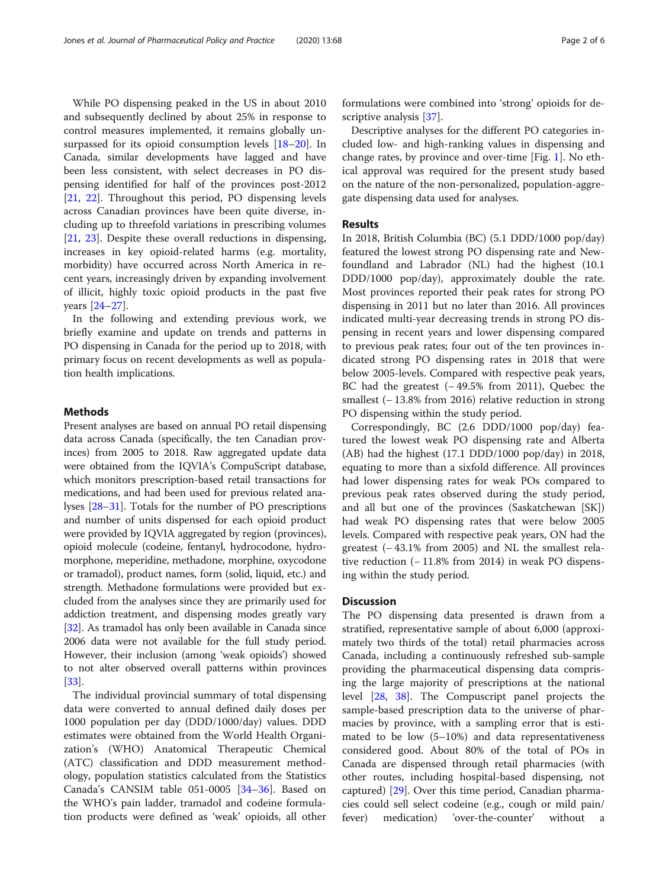While PO dispensing peaked in the US in about 2010 and subsequently declined by about 25% in response to control measures implemented, it remains globally unsurpassed for its opioid consumption levels [[18](#page-4-0)–[20](#page-4-0)]. In Canada, similar developments have lagged and have been less consistent, with select decreases in PO dispensing identified for half of the provinces post-2012 [[21,](#page-4-0) [22](#page-4-0)]. Throughout this period, PO dispensing levels across Canadian provinces have been quite diverse, including up to threefold variations in prescribing volumes [[21,](#page-4-0) [23\]](#page-4-0). Despite these overall reductions in dispensing, increases in key opioid-related harms (e.g. mortality, morbidity) have occurred across North America in recent years, increasingly driven by expanding involvement of illicit, highly toxic opioid products in the past five years [\[24](#page-4-0)–[27](#page-4-0)].

In the following and extending previous work, we briefly examine and update on trends and patterns in PO dispensing in Canada for the period up to 2018, with primary focus on recent developments as well as population health implications.

## Methods

Present analyses are based on annual PO retail dispensing data across Canada (specifically, the ten Canadian provinces) from 2005 to 2018. Raw aggregated update data were obtained from the IQVIA's CompuScript database, which monitors prescription-based retail transactions for medications, and had been used for previous related analyses [[28](#page-4-0)–[31\]](#page-4-0). Totals for the number of PO prescriptions and number of units dispensed for each opioid product were provided by IQVIA aggregated by region (provinces), opioid molecule (codeine, fentanyl, hydrocodone, hydromorphone, meperidine, methadone, morphine, oxycodone or tramadol), product names, form (solid, liquid, etc.) and strength. Methadone formulations were provided but excluded from the analyses since they are primarily used for addiction treatment, and dispensing modes greatly vary [[32](#page-4-0)]. As tramadol has only been available in Canada since 2006 data were not available for the full study period. However, their inclusion (among 'weak opioids') showed to not alter observed overall patterns within provinces [[33](#page-4-0)].

The individual provincial summary of total dispensing data were converted to annual defined daily doses per 1000 population per day (DDD/1000/day) values. DDD estimates were obtained from the World Health Organization's (WHO) Anatomical Therapeutic Chemical (ATC) classification and DDD measurement methodology, population statistics calculated from the Statistics Canada's CANSIM table 051-0005 [\[34](#page-4-0)–[36\]](#page-4-0). Based on the WHO's pain ladder, tramadol and codeine formulation products were defined as 'weak' opioids, all other formulations were combined into 'strong' opioids for descriptive analysis [\[37](#page-4-0)].

Descriptive analyses for the different PO categories included low- and high-ranking values in dispensing and change rates, by province and over-time [Fig. [1](#page-2-0)]. No ethical approval was required for the present study based on the nature of the non-personalized, population-aggregate dispensing data used for analyses.

### Results

In 2018, British Columbia (BC) (5.1 DDD/1000 pop/day) featured the lowest strong PO dispensing rate and Newfoundland and Labrador (NL) had the highest (10.1 DDD/1000 pop/day), approximately double the rate. Most provinces reported their peak rates for strong PO dispensing in 2011 but no later than 2016. All provinces indicated multi-year decreasing trends in strong PO dispensing in recent years and lower dispensing compared to previous peak rates; four out of the ten provinces indicated strong PO dispensing rates in 2018 that were below 2005-levels. Compared with respective peak years, BC had the greatest (− 49.5% from 2011), Quebec the smallest (− 13.8% from 2016) relative reduction in strong PO dispensing within the study period.

Correspondingly, BC (2.6 DDD/1000 pop/day) featured the lowest weak PO dispensing rate and Alberta (AB) had the highest (17.1 DDD/1000 pop/day) in 2018, equating to more than a sixfold difference. All provinces had lower dispensing rates for weak POs compared to previous peak rates observed during the study period, and all but one of the provinces (Saskatchewan [SK]) had weak PO dispensing rates that were below 2005 levels. Compared with respective peak years, ON had the greatest (− 43.1% from 2005) and NL the smallest relative reduction (− 11.8% from 2014) in weak PO dispensing within the study period.

## **Discussion**

The PO dispensing data presented is drawn from a stratified, representative sample of about 6,000 (approximately two thirds of the total) retail pharmacies across Canada, including a continuously refreshed sub-sample providing the pharmaceutical dispensing data comprising the large majority of prescriptions at the national level [\[28](#page-4-0), [38\]](#page-4-0). The Compuscript panel projects the sample-based prescription data to the universe of pharmacies by province, with a sampling error that is estimated to be low (5–10%) and data representativeness considered good. About 80% of the total of POs in Canada are dispensed through retail pharmacies (with other routes, including hospital-based dispensing, not captured) [[29\]](#page-4-0). Over this time period, Canadian pharmacies could sell select codeine (e.g., cough or mild pain/ fever) medication) 'over-the-counter' without a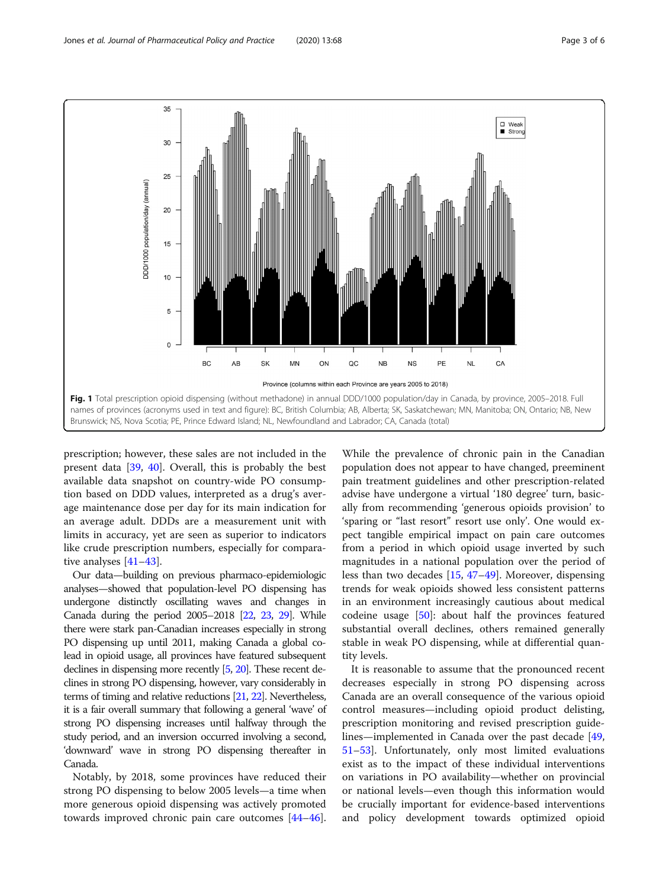<span id="page-2-0"></span>

prescription; however, these sales are not included in the present data [[39](#page-4-0), [40\]](#page-4-0). Overall, this is probably the best available data snapshot on country-wide PO consumption based on DDD values, interpreted as a drug's average maintenance dose per day for its main indication for an average adult. DDDs are a measurement unit with limits in accuracy, yet are seen as superior to indicators like crude prescription numbers, especially for comparative analyses [\[41](#page-4-0)–[43](#page-4-0)].

Our data—building on previous pharmaco-epidemiologic analyses—showed that population-level PO dispensing has undergone distinctly oscillating waves and changes in Canada during the period 2005–2018 [\[22,](#page-4-0) [23,](#page-4-0) [29](#page-4-0)]. While there were stark pan-Canadian increases especially in strong PO dispensing up until 2011, making Canada a global colead in opioid usage, all provinces have featured subsequent declines in dispensing more recently [[5](#page-3-0), [20\]](#page-4-0). These recent declines in strong PO dispensing, however, vary considerably in terms of timing and relative reductions [\[21](#page-4-0), [22\]](#page-4-0). Nevertheless, it is a fair overall summary that following a general 'wave' of strong PO dispensing increases until halfway through the study period, and an inversion occurred involving a second, 'downward' wave in strong PO dispensing thereafter in Canada.

Notably, by 2018, some provinces have reduced their strong PO dispensing to below 2005 levels—a time when more generous opioid dispensing was actively promoted towards improved chronic pain care outcomes [[44](#page-4-0)–[46](#page-4-0)].

While the prevalence of chronic pain in the Canadian population does not appear to have changed, preeminent pain treatment guidelines and other prescription-related advise have undergone a virtual '180 degree' turn, basically from recommending 'generous opioids provision' to 'sparing or "last resort" resort use only'. One would expect tangible empirical impact on pain care outcomes from a period in which opioid usage inverted by such magnitudes in a national population over the period of less than two decades [[15,](#page-4-0) [47](#page-4-0)–[49\]](#page-4-0). Moreover, dispensing trends for weak opioids showed less consistent patterns in an environment increasingly cautious about medical codeine usage [[50\]](#page-4-0): about half the provinces featured substantial overall declines, others remained generally stable in weak PO dispensing, while at differential quantity levels.

It is reasonable to assume that the pronounced recent decreases especially in strong PO dispensing across Canada are an overall consequence of the various opioid control measures—including opioid product delisting, prescription monitoring and revised prescription guidelines—implemented in Canada over the past decade [[49](#page-4-0), [51](#page-4-0)–[53](#page-4-0)]. Unfortunately, only most limited evaluations exist as to the impact of these individual interventions on variations in PO availability—whether on provincial or national levels—even though this information would be crucially important for evidence-based interventions and policy development towards optimized opioid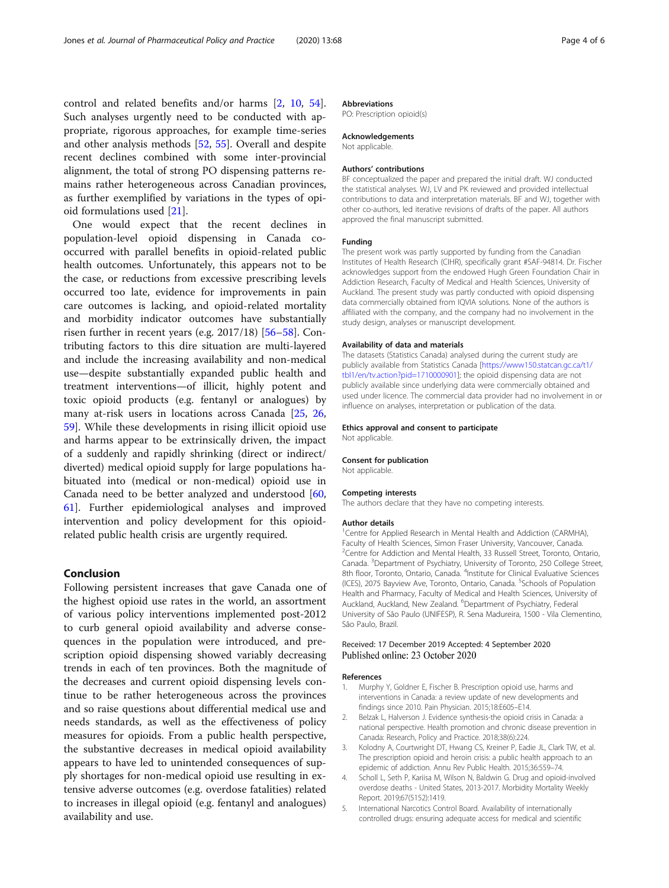<span id="page-3-0"></span>control and related benefits and/or harms [2, [10](#page-4-0), [54](#page-5-0)]. Such analyses urgently need to be conducted with appropriate, rigorous approaches, for example time-series and other analysis methods [\[52](#page-4-0), [55\]](#page-5-0). Overall and despite recent declines combined with some inter-provincial alignment, the total of strong PO dispensing patterns remains rather heterogeneous across Canadian provinces, as further exemplified by variations in the types of opioid formulations used [\[21](#page-4-0)].

One would expect that the recent declines in population-level opioid dispensing in Canada cooccurred with parallel benefits in opioid-related public health outcomes. Unfortunately, this appears not to be the case, or reductions from excessive prescribing levels occurred too late, evidence for improvements in pain care outcomes is lacking, and opioid-related mortality and morbidity indicator outcomes have substantially risen further in recent years (e.g. 2017/18) [[56](#page-5-0)–[58](#page-5-0)]. Contributing factors to this dire situation are multi-layered and include the increasing availability and non-medical use—despite substantially expanded public health and treatment interventions—of illicit, highly potent and toxic opioid products (e.g. fentanyl or analogues) by many at-risk users in locations across Canada [[25,](#page-4-0) [26](#page-4-0), [59\]](#page-5-0). While these developments in rising illicit opioid use and harms appear to be extrinsically driven, the impact of a suddenly and rapidly shrinking (direct or indirect/ diverted) medical opioid supply for large populations habituated into (medical or non-medical) opioid use in Canada need to be better analyzed and understood [[60](#page-5-0), [61\]](#page-5-0). Further epidemiological analyses and improved intervention and policy development for this opioidrelated public health crisis are urgently required.

## Conclusion

Following persistent increases that gave Canada one of the highest opioid use rates in the world, an assortment of various policy interventions implemented post-2012 to curb general opioid availability and adverse consequences in the population were introduced, and prescription opioid dispensing showed variably decreasing trends in each of ten provinces. Both the magnitude of the decreases and current opioid dispensing levels continue to be rather heterogeneous across the provinces and so raise questions about differential medical use and needs standards, as well as the effectiveness of policy measures for opioids. From a public health perspective, the substantive decreases in medical opioid availability appears to have led to unintended consequences of supply shortages for non-medical opioid use resulting in extensive adverse outcomes (e.g. overdose fatalities) related to increases in illegal opioid (e.g. fentanyl and analogues) availability and use.

## Abbreviations

PO: Prescription opioid(s)

#### Acknowledgements

Not applicable.

#### Authors' contributions

BF conceptualized the paper and prepared the initial draft. WJ conducted the statistical analyses. WJ, LV and PK reviewed and provided intellectual contributions to data and interpretation materials. BF and WJ, together with other co-authors, led iterative revisions of drafts of the paper. All authors approved the final manuscript submitted.

#### Funding

The present work was partly supported by funding from the Canadian Institutes of Health Research (CIHR), specifically grant #SAF-94814. Dr. Fischer acknowledges support from the endowed Hugh Green Foundation Chair in Addiction Research, Faculty of Medical and Health Sciences, University of Auckland. The present study was partly conducted with opioid dispensing data commercially obtained from IQVIA solutions. None of the authors is affiliated with the company, and the company had no involvement in the study design, analyses or manuscript development.

#### Availability of data and materials

The datasets (Statistics Canada) analysed during the current study are publicly available from Statistics Canada [\[https://www150.statcan.gc.ca/t1/](https://www150.statcan.gc.ca/t1/tbl1/en/tv.action?pid=1710000901) [tbl1/en/tv.action?pid=1710000901](https://www150.statcan.gc.ca/t1/tbl1/en/tv.action?pid=1710000901)]; the opioid dispensing data are not publicly available since underlying data were commercially obtained and used under licence. The commercial data provider had no involvement in or influence on analyses, interpretation or publication of the data.

## Ethics approval and consent to participate

Not applicable.

## Consent for publication

Not applicable.

#### Competing interests

The authors declare that they have no competing interests.

#### Author details

<sup>1</sup> Centre for Applied Research in Mental Health and Addiction (CARMHA), Faculty of Health Sciences, Simon Fraser University, Vancouver, Canada. <sup>2</sup>Centre for Addiction and Mental Health, 33 Russell Street, Toronto, Ontario, Canada. <sup>3</sup>Department of Psychiatry, University of Toronto, 250 College Street, 8th floor, Toronto, Ontario, Canada. <sup>4</sup>Institute for Clinical Evaluative Sciences (ICES), 2075 Bayview Ave, Toronto, Ontario, Canada. <sup>5</sup>Schools of Population Health and Pharmacy, Faculty of Medical and Health Sciences, University of Auckland, Auckland, New Zealand. <sup>6</sup>Department of Psychiatry, Federal University of São Paulo (UNIFESP), R. Sena Madureira, 1500 - Vila Clementino, São Paulo, Brazil.

## Received: 17 December 2019 Accepted: 4 September 2020

#### References

- 1. Murphy Y, Goldner E, Fischer B. Prescription opioid use, harms and interventions in Canada: a review update of new developments and findings since 2010. Pain Physician. 2015;18:E605–E14.
- 2. Belzak L, Halverson J. Evidence synthesis-the opioid crisis in Canada: a national perspective. Health promotion and chronic disease prevention in Canada: Research, Policy and Practice. 2018;38(6):224.
- 3. Kolodny A, Courtwright DT, Hwang CS, Kreiner P, Eadie JL, Clark TW, et al. The prescription opioid and heroin crisis: a public health approach to an epidemic of addiction. Annu Rev Public Health. 2015;36:559–74.
- 4. Scholl L, Seth P, Kariisa M, Wilson N, Baldwin G. Drug and opioid-involved overdose deaths - United States, 2013-2017. Morbidity Mortality Weekly Report. 2019;67(5152):1419.
- 5. International Narcotics Control Board. Availability of internationally controlled drugs: ensuring adequate access for medical and scientific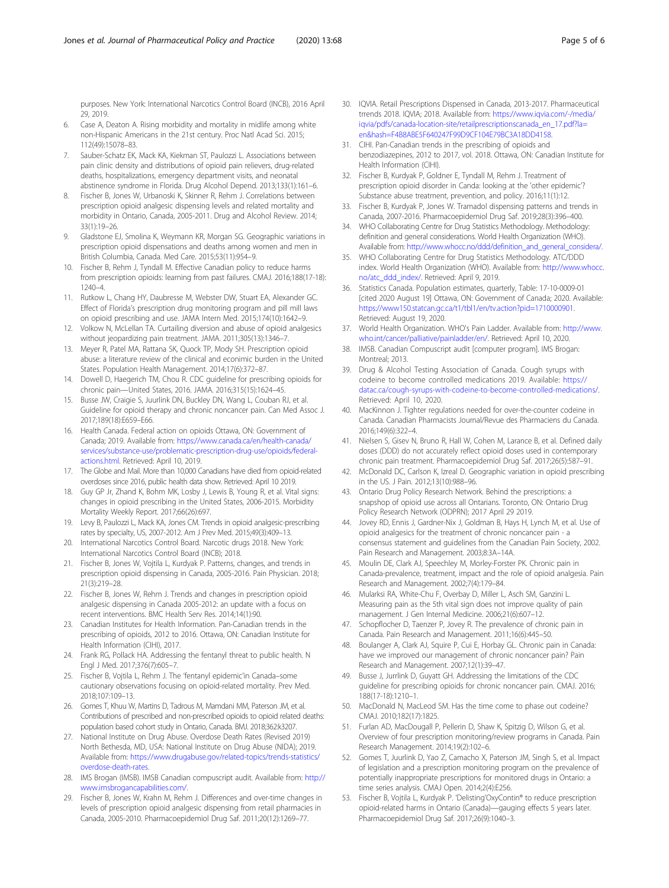<span id="page-4-0"></span>purposes. New York: International Narcotics Control Board (INCB), 2016 April 29, 2019.

- 6. Case A, Deaton A. Rising morbidity and mortality in midlife among white non-Hispanic Americans in the 21st century. Proc Natl Acad Sci. 2015; 112(49):15078–83.
- 7. Sauber-Schatz EK, Mack KA, Kiekman ST, Paulozzi L. Associations between pain clinic density and distributions of opioid pain relievers, drug-related deaths, hospitalizations, emergency department visits, and neonatal abstinence syndrome in Florida. Drug Alcohol Depend. 2013;133(1):161–6.
- 8. Fischer B, Jones W, Urbanoski K, Skinner R, Rehm J. Correlations between prescription opioid analgesic dispensing levels and related mortality and morbidity in Ontario, Canada, 2005-2011. Drug and Alcohol Review. 2014; 33(1):19–26.
- 9. Gladstone EJ, Smolina K, Weymann KR, Morgan SG. Geographic variations in prescription opioid dispensations and deaths among women and men in British Columbia, Canada. Med Care. 2015;53(11):954–9.
- 10. Fischer B, Rehm J, Tyndall M. Effective Canadian policy to reduce harms from prescription opioids: learning from past failures. CMAJ. 2016;188(17-18): 1240–4.
- 11. Rutkow L, Chang HY, Daubresse M, Webster DW, Stuart EA, Alexander GC. Effect of Florida's prescription drug monitoring program and pill mill laws on opioid prescribing and use. JAMA Intern Med. 2015;174(10):1642–9.
- 12. Volkow N, McLellan TA. Curtailing diversion and abuse of opioid analgesics without jeopardizing pain treatment. JAMA. 2011;305(13):1346–7.
- 13. Meyer R, Patel MA, Rattana SK, Quock TP, Mody SH. Prescription opioid abuse: a literature review of the clinical and econimic burden in the United States. Population Health Management. 2014;17(6):372–87.
- 14. Dowell D, Haegerich TM, Chou R. CDC guideline for prescribing opioids for chronic pain—United States, 2016. JAMA. 2016;315(15):1624–45.
- 15. Busse JW, Craigie S, Juurlink DN, Buckley DN, Wang L, Couban RJ, et al. Guideline for opioid therapy and chronic noncancer pain. Can Med Assoc J. 2017;189(18):E659–E66.
- 16. Health Canada. Federal action on opioids Ottawa, ON: Government of Canada; 2019. Available from: [https://www.canada.ca/en/health-canada/](https://www.canada.ca/en/health-canada/services/substance-use/problematic-prescription-drug-use/opioids/federal-actions.html) [services/substance-use/problematic-prescription-drug-use/opioids/federal](https://www.canada.ca/en/health-canada/services/substance-use/problematic-prescription-drug-use/opioids/federal-actions.html)[actions.html](https://www.canada.ca/en/health-canada/services/substance-use/problematic-prescription-drug-use/opioids/federal-actions.html). Retrieved: April 10, 2019.
- 17. The Globe and Mail. More than 10,000 Canadians have died from opioid-related overdoses since 2016, public health data show. Retrieved: April 10 2019.
- 18. Guy GP Jr, Zhand K, Bohm MK, Losby J, Lewis B, Young R, et al. Vital signs: changes in opioid prescribing in the United States, 2006-2015. Morbidity Mortality Weekly Report. 2017;66(26):697.
- 19. Levy B, Paulozzi L, Mack KA, Jones CM. Trends in opioid analgesic-prescribing rates by specialty, US, 2007-2012. Am J Prev Med. 2015;49(3):409–13.
- 20. International Narcotics Control Board. Narcotic drugs 2018. New York: International Narcotics Control Board (INCB); 2018.
- 21. Fischer B, Jones W, Vojtila L, Kurdyak P. Patterns, changes, and trends in prescription opioid dispensing in Canada, 2005-2016. Pain Physician. 2018; 21(3):219–28.
- 22. Fischer B, Jones W, Rehm J. Trends and changes in prescription opioid analgesic dispensing in Canada 2005-2012: an update with a focus on recent interventions. BMC Health Serv Res. 2014;14(1):90.
- 23. Canadian Institutes for Health Information. Pan-Canadian trends in the prescribing of opioids, 2012 to 2016. Ottawa, ON: Canadian Institute for Health Information (CIHI), 2017.
- 24. Frank RG, Pollack HA. Addressing the fentanyl threat to public health. N Engl J Med. 2017;376(7):605–7.
- 25. Fischer B, Vojtila L, Rehm J. The 'fentanyl epidemic'in Canada–some cautionary observations focusing on opioid-related mortality. Prev Med. 2018;107:109–13.
- 26. Gomes T, Khuu W, Martins D, Tadrous M, Mamdani MM, Paterson JM, et al. Contributions of prescribed and non-prescribed opioids to opioid related deaths: population based cohort study in Ontario, Canada. BMJ. 2018;362:k3207.
- 27. National Institute on Drug Abuse. Overdose Death Rates (Revised 2019) North Bethesda, MD, USA: National Institute on Drug Abuse (NIDA); 2019. Available from: [https://www.drugabuse.gov/related-topics/trends-statistics/](https://www.drugabuse.gov/related-topics/trends-statistics/overdose-death-rates) [overdose-death-rates.](https://www.drugabuse.gov/related-topics/trends-statistics/overdose-death-rates)
- 28. IMS Brogan (IMSB). IMSB Canadian compuscript audit. Available from: [http://](http://www.imsbrogancapabilities.com/) [www.imsbrogancapabilities.com/](http://www.imsbrogancapabilities.com/).
- 29. Fischer B, Jones W, Krahn M, Rehm J. Differences and over-time changes in levels of prescription opioid analgesic dispensing from retail pharmacies in Canada, 2005-2010. Pharmacoepidemiol Drug Saf. 2011;20(12):1269–77.
- 30. IQVIA. Retail Prescriptions Dispensed in Canada, 2013-2017. Pharmaceutical trrends 2018. IQVIA; 2018. Available from: [https://www.iqvia.com/-/media/](https://www.iqvia.com/-/media/iqvia/pdfs/canada-location-site/retailprescriptionscanada_en_17.pdf?la=en&hash=F4B8ABE5F640247F99D9CF104E79BC3A18DD4158) [iqvia/pdfs/canada-location-site/retailprescriptionscanada\\_en\\_17.pdf?la=](https://www.iqvia.com/-/media/iqvia/pdfs/canada-location-site/retailprescriptionscanada_en_17.pdf?la=en&hash=F4B8ABE5F640247F99D9CF104E79BC3A18DD4158) [en&hash=F4B8ABE5F640247F99D9CF104E79BC3A18DD4158.](https://www.iqvia.com/-/media/iqvia/pdfs/canada-location-site/retailprescriptionscanada_en_17.pdf?la=en&hash=F4B8ABE5F640247F99D9CF104E79BC3A18DD4158)
- 31. CIHI. Pan-Canadian trends in the prescribing of opioids and benzodiazepines, 2012 to 2017, vol. 2018. Ottawa, ON: Canadian Institute for Health Information (CIHI).
- 32. Fischer B, Kurdyak P, Goldner E, Tyndall M, Rehm J. Treatment of prescription opioid disorder in Canda: looking at the 'other epidemic'? Substance abuse treatment, prevention, and policy. 2016;11(1):12.
- 33. Fischer B, Kurdyak P, Jones W. Tramadol dispensing patterns and trends in Canada, 2007-2016. Pharmacoepidemiol Drug Saf. 2019;28(3):396–400.
- 34. WHO Collaborating Centre for Drug Statistics Methodology. Methodology: definition and general considerations. World Health Organization (WHO). Available from: [http://www.whocc.no/ddd/definition\\_and\\_general\\_considera/.](http://www.whocc.no/ddd/definition_and_general_considera/)
- 35. WHO Collaborating Centre for Drug Statistics Methodology. ATC/DDD index. World Health Organization (WHO). Available from: [http://www.whocc.](http://www.whocc.no/atc_ddd_index/) [no/atc\\_ddd\\_index/.](http://www.whocc.no/atc_ddd_index/) Retrieved: April 9, 2019.
- 36. Statistics Canada. Population estimates, quarterly, Table: 17-10-0009-01 [cited 2020 August 19] Ottawa, ON: Government of Canada; 2020. Available: [https://www150.statcan.gc.ca/t1/tbl1/en/tv.action?pid=1710000901.](https://www150.statcan.gc.ca/t1/tbl1/en/tv.action?pid=1710000901) Retrieved: August 19, 2020.
- 37. World Health Organization. WHO's Pain Ladder. Available from: [http://www.](http://www.who.int/cancer/palliative/painladder/en/) [who.int/cancer/palliative/painladder/en/](http://www.who.int/cancer/palliative/painladder/en/). Retrieved: April 10, 2020.
- IMSB. Canadian Compuscript audit [computer program]. IMS Brogan: Montreal: 2013
- 39. Drug & Alcohol Testing Association of Canada. Cough syrups with codeine to become controlled medications 2019. Available: [https://](https://datac.ca/cough-syrups-with-codeine-to-become-controlled-medications/) [datac.ca/cough-syrups-with-codeine-to-become-controlled-medications/.](https://datac.ca/cough-syrups-with-codeine-to-become-controlled-medications/) Retrieved: April 10, 2020.
- 40. MacKinnon J. Tighter regulations needed for over-the-counter codeine in Canada. Canadian Pharmacists Journal/Revue des Pharmaciens du Canada. 2016;149(6):322–4.
- 41. Nielsen S, Gisev N, Bruno R, Hall W, Cohen M, Larance B, et al. Defined daily doses (DDD) do not accurately reflect opioid doses used in contemporary chronic pain treatment. Pharmacoepidemiol Drug Saf. 2017;26(5):587–91.
- 42. McDonald DC, Carlson K, Izreal D. Geographic variation in opioid prescribing in the US. J Pain. 2012;13(10):988–96.
- 43. Ontario Drug Policy Research Network. Behind the prescriptions: a snapshop of opioid use across all Ontarians. Toronto, ON: Ontario Drug Policy Research Network (ODPRN); 2017 April 29 2019.
- 44. Jovey RD, Ennis J, Gardner-Nix J, Goldman B, Hays H, Lynch M, et al. Use of opioid analgesics for the treatment of chronic noncancer pain - a consensus statement and guidelines from the Canadian Pain Society, 2002. Pain Research and Management. 2003;8:3A–14A.
- 45. Moulin DE, Clark AJ, Speechley M, Morley-Forster PK. Chronic pain in Canada-prevalence, treatment, impact and the role of opioid analgesia. Pain Research and Management. 2002;7(4):179–84.
- 46. Mularksi RA, White-Chu F, Overbay D, Miller L, Asch SM, Ganzini L. Measuring pain as the 5th vital sign does not improve quality of pain management. J Gen Internal Medicine. 2006;21(6):607–12.
- 47. Schopflocher D, Taenzer P, Jovey R. The prevalence of chronic pain in Canada. Pain Research and Management. 2011;16(6):445–50.
- 48. Boulanger A, Clark AJ, Squire P, Cui E, Horbay GL. Chronic pain in Canada: have we improved our management of chronic noncancer pain? Pain Research and Management. 2007;12(1):39–47.
- 49. Busse J, Jurrlink D, Guyatt GH. Addressing the limitations of the CDC guideline for prescribing opioids for chronic noncancer pain. CMAJ. 2016; 188(17-18):1210–1.
- 50. MacDonald N, MacLeod SM. Has the time come to phase out codeine? CMAJ. 2010;182(17):1825.
- 51. Furlan AD, MacDougall P, Pellerin D, Shaw K, Spitzig D, Wilson G, et al. Overview of four prescription monitoring/review programs in Canada. Pain Research Management. 2014;19(2):102–6.
- 52. Gomes T, Juurlink D, Yao Z, Camacho X, Paterson JM, Singh S, et al. Impact of legislation and a prescription monitoring program on the prevalence of potentially inappropriate prescriptions for monitored drugs in Ontario: a time series analysis. CMAJ Open. 2014;2(4):E256.
- 53. Fischer B, Vojtila L, Kurdyak P. 'Delisting'OxyContin® to reduce prescription opioid-related harms in Ontario (Canada)—gauging effects 5 years later. Pharmacoepidemiol Drug Saf. 2017;26(9):1040–3.